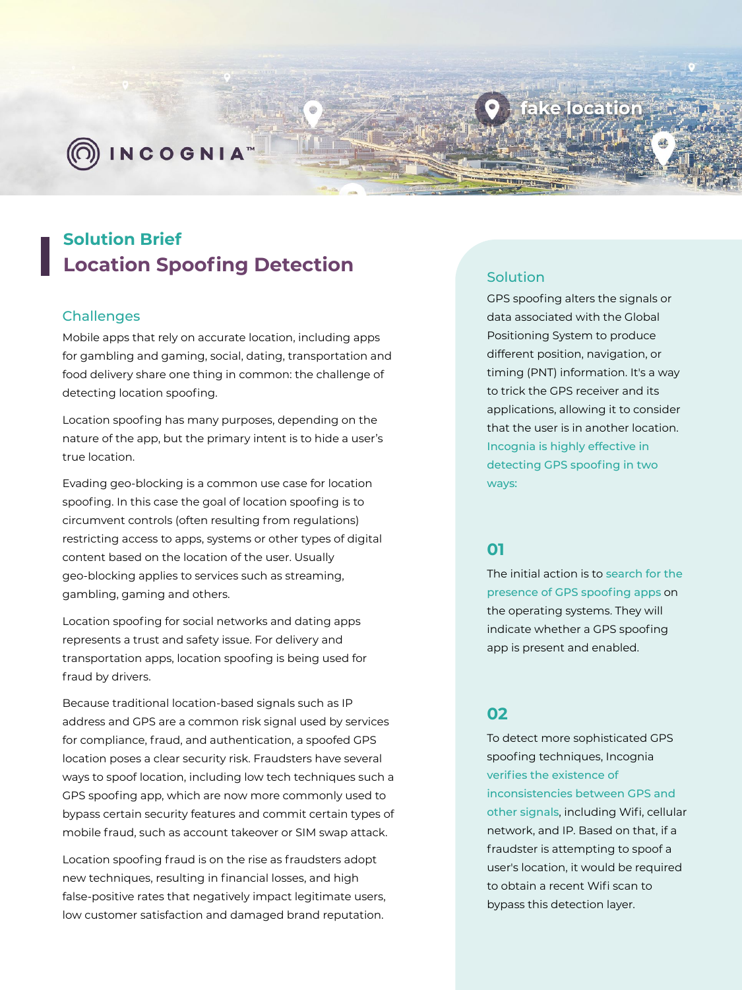

D) INCOGNIA™

# **Solution Brief Location Spoofing Detection**

### **Challenges**

Mobile apps that rely on accurate location, including apps for gambling and gaming, social, dating, transportation and food delivery share one thing in common: the challenge of detecting location spoofing.

Location spoofing has many purposes, depending on the nature of the app, but the primary intent is to hide a user's true location.

Evading geo-blocking is a common use case for location spoofing. In this case the goal of location spoofing is to circumvent controls (often resulting from regulations) restricting access to apps, systems or other types of digital content based on the location of the user. Usually geo-blocking applies to services such as streaming, gambling, gaming and others.

Location spoofing for social networks and dating apps represents a trust and safety issue. For delivery and transportation apps, location spoofing is being used for fraud by drivers.

Because traditional location-based signals such as IP address and GPS are a common risk signal used by services for compliance, fraud, and authentication, a spoofed GPS location poses a clear security risk. Fraudsters have several ways to spoof location, including low tech techniques such a GPS spoofing app, which are now more commonly used to bypass certain security features and commit certain types of mobile fraud, such as account takeover or SIM swap attack.

Location spoofing fraud is on the rise as fraudsters adopt new techniques, resulting in financial losses, and high false-positive rates that negatively impact legitimate users, low customer satisfaction and damaged brand reputation.

# Solution

GPS spoofing alters the signals or data associated with the Global Positioning System to produce different position, navigation, or timing (PNT) information. It's a way to trick the GPS receiver and its applications, allowing it to consider that the user is in another location. Incognia is highly effective in detecting GPS spoofing in two ways:

ake location

# **01**

The initial action is to search for the presence of GPS spoofing apps on the operating systems. They will indicate whether a GPS spoofing app is present and enabled.

# **02**

To detect more sophisticated GPS spoofing techniques, Incognia verifies the existence of inconsistencies between GPS and other signals, including Wifi, cellular network, and IP. Based on that, if a fraudster is attempting to spoof a user's location, it would be required to obtain a recent Wifi scan to bypass this detection layer.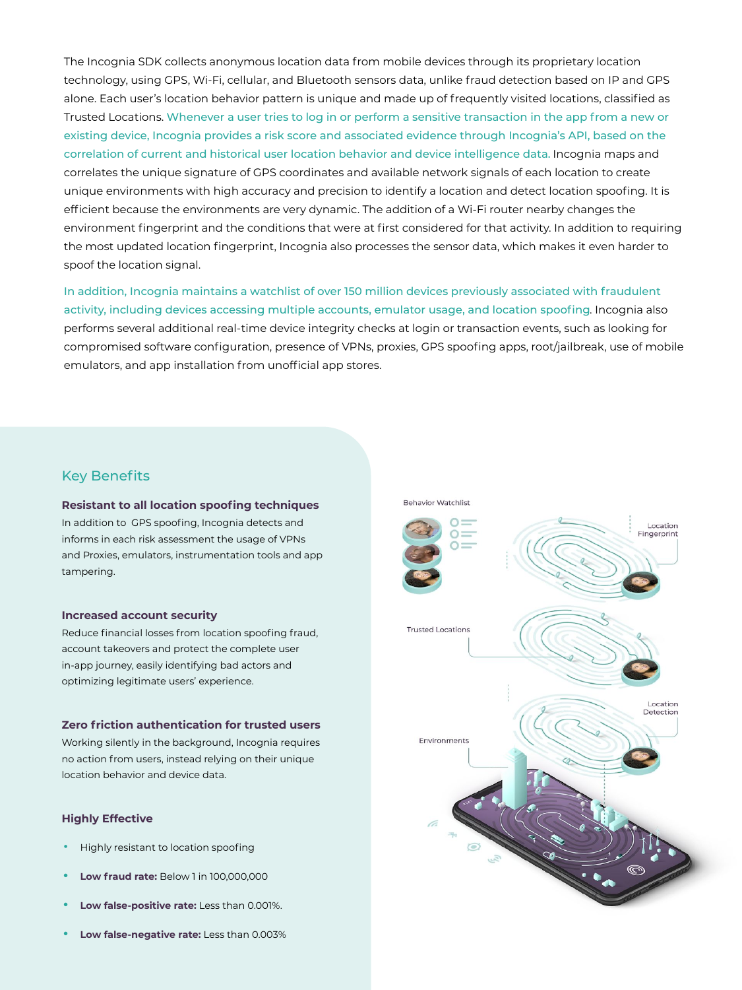The Incognia SDK collects anonymous location data from mobile devices through its proprietary location technology, using GPS, Wi-Fi, cellular, and Bluetooth sensors data, unlike fraud detection based on IP and GPS alone. Each user's location behavior pattern is unique and made up of frequently visited locations, classified as Trusted Locations. Whenever a user tries to log in or perform a sensitive transaction in the app from a new or existing device, Incognia provides a risk score and associated evidence through Incognia's API, based on the correlation of current and historical user location behavior and device intelligence data. Incognia maps and correlates the unique signature of GPS coordinates and available network signals of each location to create unique environments with high accuracy and precision to identify a location and detect location spoofing. It is efficient because the environments are very dynamic. The addition of a Wi-Fi router nearby changes the environment fingerprint and the conditions that were at first considered for that activity. In addition to requiring the most updated location fingerprint, Incognia also processes the sensor data, which makes it even harder to spoof the location signal.

In addition, Incognia maintains a watchlist of over 150 million devices previously associated with fraudulent activity, including devices accessing multiple accounts, emulator usage, and location spoofing. Incognia also performs several additional real-time device integrity checks at login or transaction events, such as looking for compromised software configuration, presence of VPNs, proxies, GPS spoofing apps, root/jailbreak, use of mobile emulators, and app installation from unofficial app stores.

# Key Benefits

### **Resistant to all location spoofing techniques** In addition to GPS spoofing, Incognia detects and informs in each risk assessment the usage of VPNs and Proxies, emulators, instrumentation tools and app tampering.

#### **Increased account security**

Reduce financial losses from location spoofing fraud, account takeovers and protect the complete user in-app journey, easily identifying bad actors and optimizing legitimate users' experience.

### **Zero friction authentication for trusted users**

Working silently in the background, Incognia requires no action from users, instead relying on their unique location behavior and device data.

### **Highly Effective**

- Highly resistant to location spoofing
- **• Low fraud rate:** Below 1 in 100,000,000
- **• Low false-positive rate:** Less than 0.001%.
- **• Low false-negative rate:** Less than 0.003%